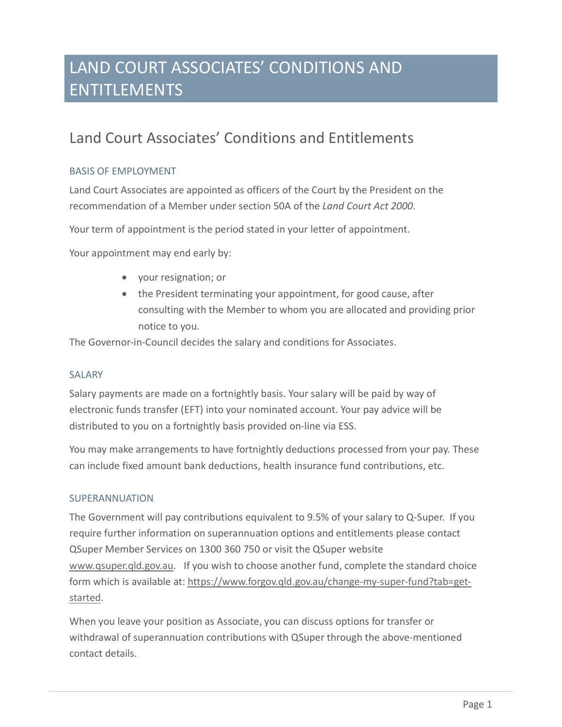# Land Court Associates' Conditions and Entitlements

### BASIS OF EMPLOYMENT

Land Court Associates are appointed as officers of the Court by the President on the recommendation of a Member under section 50A of the *Land Court Act 2000*.

Your term of appointment is the period stated in your letter of appointment.

Your appointment may end early by:

- your resignation; or
- the President terminating your appointment, for good cause, after consulting with the Member to whom you are allocated and providing prior notice to you.

The Governor-in-Council decides the salary and conditions for Associates.

### SALARY

Salary payments are made on a fortnightly basis. Your salary will be paid by way of electronic funds transfer (EFT) into your nominated account. Your pay advice will be distributed to you on a fortnightly basis provided on-line via ESS.

You may make arrangements to have fortnightly deductions processed from your pay. These can include fixed amount bank deductions, health insurance fund contributions, etc.

### SUPERANNUATION

The Government will pay contributions equivalent to 9.5% of your salary to Q-Super. If you require further information on superannuation options and entitlements please contact QSuper Member Services on 1300 360 750 or visit the QSuper website [www.qsuper.qld.gov.au.](http://www.qsuper.qld.gov.au/) If you wish to choose another fund, complete the standard choice form which is available at: [https://www.forgov.qld.gov.au/change-my-super-fund?tab=get](https://www.forgov.qld.gov.au/change-my-super-fund?tab=get-started)[started.](https://www.forgov.qld.gov.au/change-my-super-fund?tab=get-started)

When you leave your position as Associate, you can discuss options for transfer or withdrawal of superannuation contributions with QSuper through the above-mentioned contact details.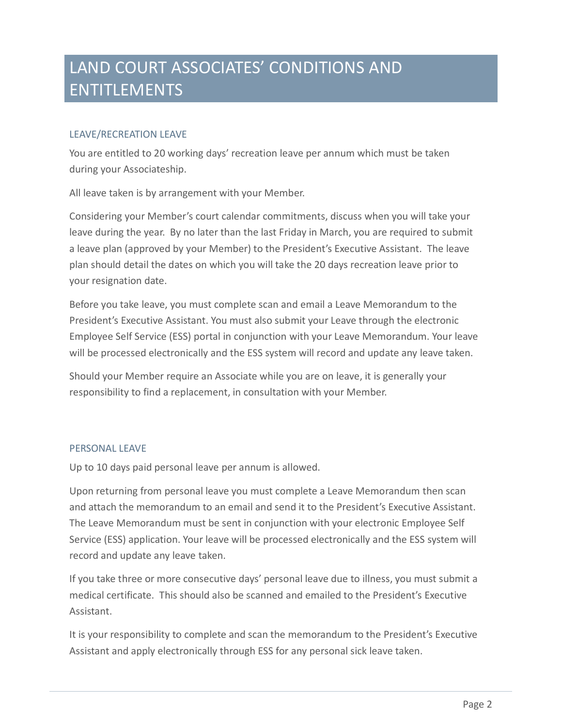#### LEAVE/RECREATION LEAVE

You are entitled to 20 working days' recreation leave per annum which must be taken during your Associateship.

All leave taken is by arrangement with your Member.

Considering your Member's court calendar commitments, discuss when you will take your leave during the year. By no later than the last Friday in March, you are required to submit a leave plan (approved by your Member) to the President's Executive Assistant. The leave plan should detail the dates on which you will take the 20 days recreation leave prior to your resignation date.

Before you take leave, you must complete scan and email a Leave Memorandum to the President's Executive Assistant. You must also submit your Leave through the electronic Employee Self Service (ESS) portal in conjunction with your Leave Memorandum. Your leave will be processed electronically and the ESS system will record and update any leave taken.

Should your Member require an Associate while you are on leave, it is generally your responsibility to find a replacement, in consultation with your Member.

#### PERSONAL LEAVE

Up to 10 days paid personal leave per annum is allowed.

Upon returning from personal leave you must complete a Leave Memorandum then scan and attach the memorandum to an email and send it to the President's Executive Assistant. The Leave Memorandum must be sent in conjunction with your electronic Employee Self Service (ESS) application. Your leave will be processed electronically and the ESS system will record and update any leave taken.

If you take three or more consecutive days' personal leave due to illness, you must submit a medical certificate. This should also be scanned and emailed to the President's Executive Assistant.

It is your responsibility to complete and scan the memorandum to the President's Executive Assistant and apply electronically through ESS for any personal sick leave taken.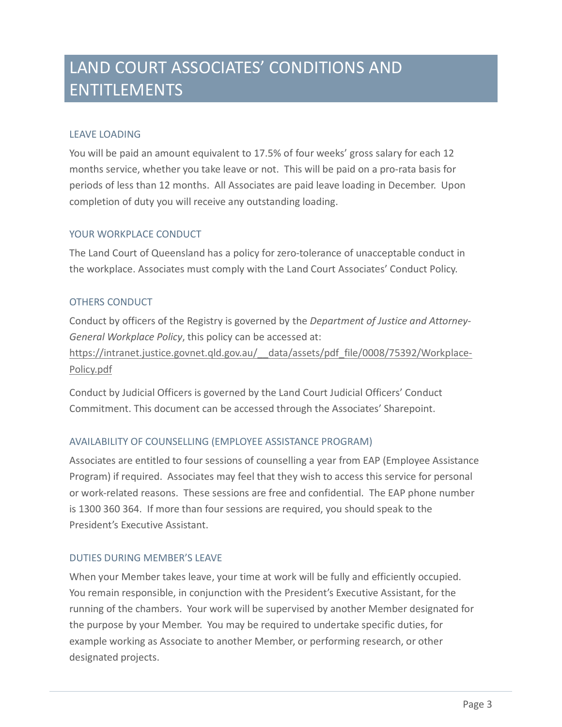## LEAVE LOADING

You will be paid an amount equivalent to 17.5% of four weeks' gross salary for each 12 months service, whether you take leave or not. This will be paid on a pro-rata basis for periods of less than 12 months. All Associates are paid leave loading in December. Upon completion of duty you will receive any outstanding loading.

### YOUR WORKPLACE CONDUCT

The Land Court of Queensland has a policy for zero-tolerance of unacceptable conduct in the workplace. Associates must comply with the Land Court Associates' Conduct Policy.

### OTHERS CONDUCT

Conduct by officers of the Registry is governed by the *Department of Justice and Attorney-General Workplace Policy*, this policy can be accessed at: https://intranet.justice.govnet.qld.gov.au/ data/assets/pdf file/0008/75392/Workplace-

[Policy.pdf](https://intranet.justice.govnet.qld.gov.au/__data/assets/pdf_file/0008/75392/Workplace-Policy.pdf)

Conduct by Judicial Officers is governed by the Land Court Judicial Officers' Conduct Commitment. This document can be accessed through the Associates' Sharepoint.

### AVAILABILITY OF COUNSELLING (EMPLOYEE ASSISTANCE PROGRAM)

Associates are entitled to four sessions of counselling a year from EAP (Employee Assistance Program) if required. Associates may feel that they wish to access this service for personal or work-related reasons. These sessions are free and confidential. The EAP phone number is 1300 360 364. If more than four sessions are required, you should speak to the President's Executive Assistant.

### DUTIES DURING MEMBER'S LEAVE

When your Member takes leave, your time at work will be fully and efficiently occupied. You remain responsible, in conjunction with the President's Executive Assistant, for the running of the chambers. Your work will be supervised by another Member designated for the purpose by your Member. You may be required to undertake specific duties, for example working as Associate to another Member, or performing research, or other designated projects.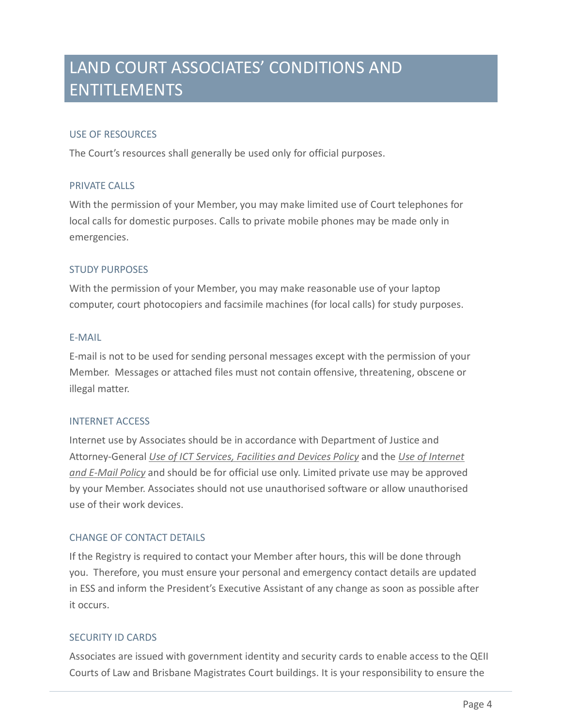#### USE OF RESOURCES

The Court's resources shall generally be used only for official purposes.

#### PRIVATE CALLS

With the permission of your Member, you may make limited use of Court telephones for local calls for domestic purposes. Calls to private mobile phones may be made only in emergencies.

#### STUDY PURPOSES

With the permission of your Member, you may make reasonable use of your laptop computer, court photocopiers and facsimile machines (for local calls) for study purposes.

#### E-MAIL

E-mail is not to be used for sending personal messages except with the permission of your Member. Messages or attached files must not contain offensive, threatening, obscene or illegal matter.

#### INTERNET ACCESS

Internet use by Associates should be in accordance with Department of Justice and Attorney-General *[Use of ICT Services, Facilities and Devices Policy](https://intranet.justice.govnet.qld.gov.au/__data/assets/pdf_file/0004/35392/use-ict-services-facilities-devices-policy.pdf)* and the *[Use of Internet](https://www.qld.gov.au/gov/documents/policy/use-internet-and-email-policy)  [and E-Mail Policy](https://www.qld.gov.au/gov/documents/policy/use-internet-and-email-policy)* and should be for official use only. Limited private use may be approved by your Member. Associates should not use unauthorised software or allow unauthorised use of their work devices.

### CHANGE OF CONTACT DETAILS

If the Registry is required to contact your Member after hours, this will be done through you. Therefore, you must ensure your personal and emergency contact details are updated in ESS and inform the President's Executive Assistant of any change as soon as possible after it occurs.

#### SECURITY ID CARDS

Associates are issued with government identity and security cards to enable access to the QEII Courts of Law and Brisbane Magistrates Court buildings. It is your responsibility to ensure the